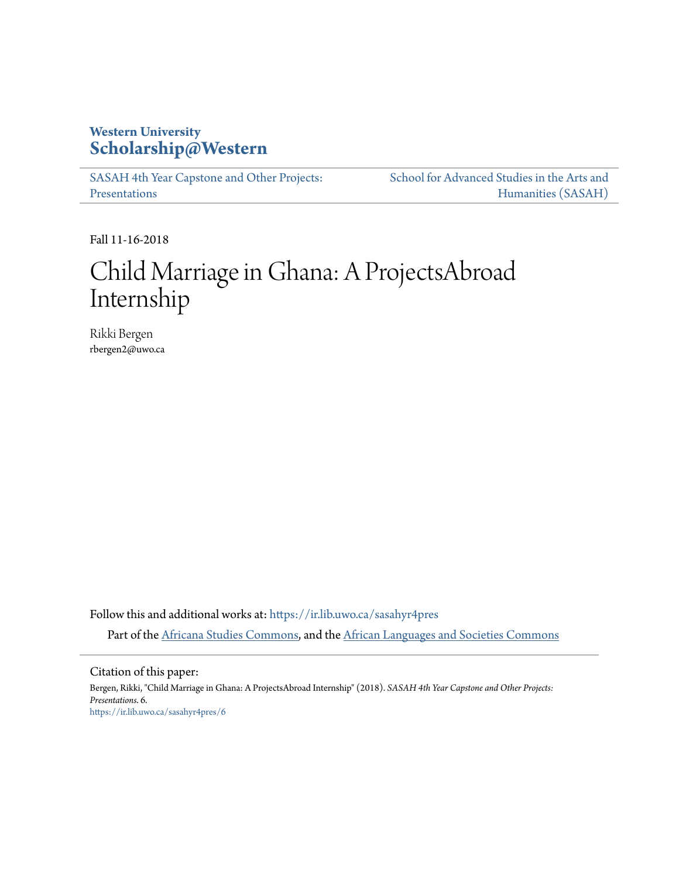## **Western University [Scholarship@Western](https://ir.lib.uwo.ca?utm_source=ir.lib.uwo.ca%2Fsasahyr4pres%2F6&utm_medium=PDF&utm_campaign=PDFCoverPages)**

[SASAH 4th Year Capstone and Other Projects:](https://ir.lib.uwo.ca/sasahyr4pres?utm_source=ir.lib.uwo.ca%2Fsasahyr4pres%2F6&utm_medium=PDF&utm_campaign=PDFCoverPages) [Presentations](https://ir.lib.uwo.ca/sasahyr4pres?utm_source=ir.lib.uwo.ca%2Fsasahyr4pres%2F6&utm_medium=PDF&utm_campaign=PDFCoverPages)

[School for Advanced Studies in the Arts and](https://ir.lib.uwo.ca/sasah?utm_source=ir.lib.uwo.ca%2Fsasahyr4pres%2F6&utm_medium=PDF&utm_campaign=PDFCoverPages) [Humanities \(SASAH\)](https://ir.lib.uwo.ca/sasah?utm_source=ir.lib.uwo.ca%2Fsasahyr4pres%2F6&utm_medium=PDF&utm_campaign=PDFCoverPages)

Fall 11-16-2018

# Child Marriage in Ghana: A ProjectsAbroad Internship

Rikki Bergen rbergen2@uwo.ca

Follow this and additional works at: [https://ir.lib.uwo.ca/sasahyr4pres](https://ir.lib.uwo.ca/sasahyr4pres?utm_source=ir.lib.uwo.ca%2Fsasahyr4pres%2F6&utm_medium=PDF&utm_campaign=PDFCoverPages) Part of the [Africana Studies Commons](http://network.bepress.com/hgg/discipline/1418?utm_source=ir.lib.uwo.ca%2Fsasahyr4pres%2F6&utm_medium=PDF&utm_campaign=PDFCoverPages), and the [African Languages and Societies Commons](http://network.bepress.com/hgg/discipline/476?utm_source=ir.lib.uwo.ca%2Fsasahyr4pres%2F6&utm_medium=PDF&utm_campaign=PDFCoverPages)

Citation of this paper:

Bergen, Rikki, "Child Marriage in Ghana: A ProjectsAbroad Internship" (2018). *SASAH 4th Year Capstone and Other Projects: Presentations*. 6. [https://ir.lib.uwo.ca/sasahyr4pres/6](https://ir.lib.uwo.ca/sasahyr4pres/6?utm_source=ir.lib.uwo.ca%2Fsasahyr4pres%2F6&utm_medium=PDF&utm_campaign=PDFCoverPages)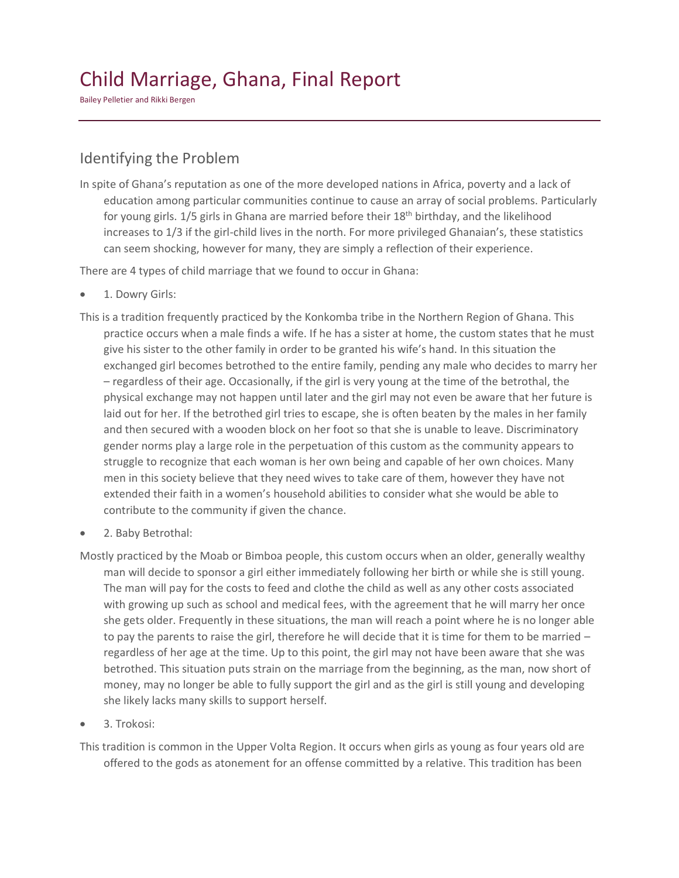# Child Marriage, Ghana, Final Report

Bailey Pelletier and Rikki Bergen

### Identifying the Problem

In spite of Ghana's reputation as one of the more developed nations in Africa, poverty and a lack of education among particular communities continue to cause an array of social problems. Particularly for young girls. 1/5 girls in Ghana are married before their 18<sup>th</sup> birthday, and the likelihood increases to 1/3 if the girl-child lives in the north. For more privileged Ghanaian's, these statistics can seem shocking, however for many, they are simply a reflection of their experience.

There are 4 types of child marriage that we found to occur in Ghana:

- 1. Dowry Girls:
- This is a tradition frequently practiced by the Konkomba tribe in the Northern Region of Ghana. This practice occurs when a male finds a wife. If he has a sister at home, the custom states that he must give his sister to the other family in order to be granted his wife's hand. In this situation the exchanged girl becomes betrothed to the entire family, pending any male who decides to marry her – regardless of their age. Occasionally, if the girl is very young at the time of the betrothal, the physical exchange may not happen until later and the girl may not even be aware that her future is laid out for her. If the betrothed girl tries to escape, she is often beaten by the males in her family and then secured with a wooden block on her foot so that she is unable to leave. Discriminatory gender norms play a large role in the perpetuation of this custom as the community appears to struggle to recognize that each woman is her own being and capable of her own choices. Many men in this society believe that they need wives to take care of them, however they have not extended their faith in a women's household abilities to consider what she would be able to contribute to the community if given the chance.
- 2. Baby Betrothal:
- Mostly practiced by the Moab or Bimboa people, this custom occurs when an older, generally wealthy man will decide to sponsor a girl either immediately following her birth or while she is still young. The man will pay for the costs to feed and clothe the child as well as any other costs associated with growing up such as school and medical fees, with the agreement that he will marry her once she gets older. Frequently in these situations, the man will reach a point where he is no longer able to pay the parents to raise the girl, therefore he will decide that it is time for them to be married regardless of her age at the time. Up to this point, the girl may not have been aware that she was betrothed. This situation puts strain on the marriage from the beginning, as the man, now short of money, may no longer be able to fully support the girl and as the girl is still young and developing she likely lacks many skills to support herself.
- 3. Trokosi:

This tradition is common in the Upper Volta Region. It occurs when girls as young as four years old are offered to the gods as atonement for an offense committed by a relative. This tradition has been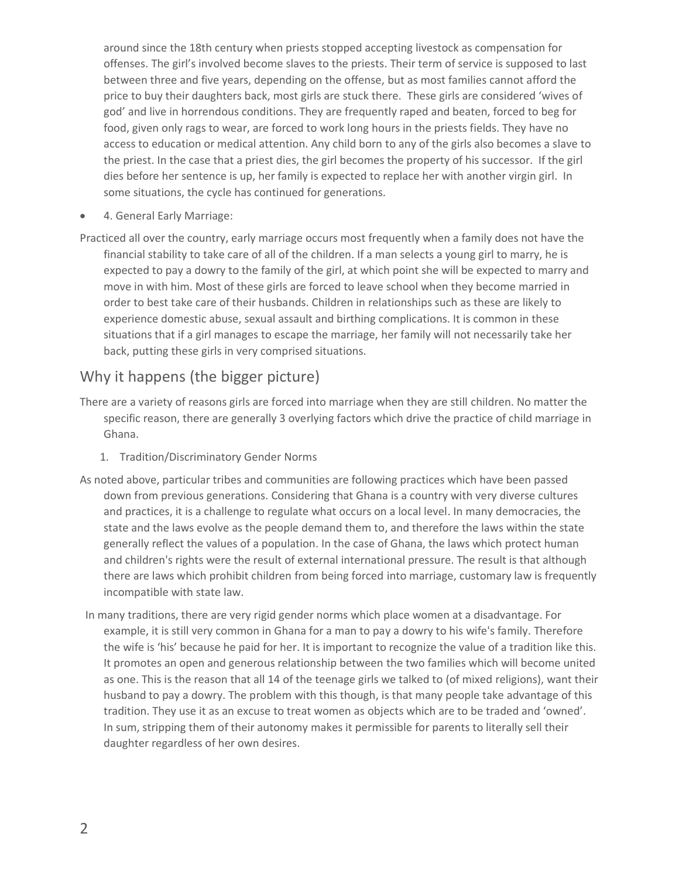around since the 18th century when priests stopped accepting livestock as compensation for offenses. The girl's involved become slaves to the priests. Their term of service is supposed to last between three and five years, depending on the offense, but as most families cannot afford the price to buy their daughters back, most girls are stuck there. These girls are considered 'wives of god' and live in horrendous conditions. They are frequently raped and beaten, forced to beg for food, given only rags to wear, are forced to work long hours in the priests fields. They have no access to education or medical attention. Any child born to any of the girls also becomes a slave to the priest. In the case that a priest dies, the girl becomes the property of his successor. If the girl dies before her sentence is up, her family is expected to replace her with another virgin girl. In some situations, the cycle has continued for generations.

• 4. General Early Marriage:

Practiced all over the country, early marriage occurs most frequently when a family does not have the financial stability to take care of all of the children. If a man selects a young girl to marry, he is expected to pay a dowry to the family of the girl, at which point she will be expected to marry and move in with him. Most of these girls are forced to leave school when they become married in order to best take care of their husbands. Children in relationships such as these are likely to experience domestic abuse, sexual assault and birthing complications. It is common in these situations that if a girl manages to escape the marriage, her family will not necessarily take her back, putting these girls in very comprised situations.

### Why it happens (the bigger picture)

- There are a variety of reasons girls are forced into marriage when they are still children. No matter the specific reason, there are generally 3 overlying factors which drive the practice of child marriage in Ghana.
	- 1. Tradition/Discriminatory Gender Norms
- As noted above, particular tribes and communities are following practices which have been passed down from previous generations. Considering that Ghana is a country with very diverse cultures and practices, it is a challenge to regulate what occurs on a local level. In many democracies, the state and the laws evolve as the people demand them to, and therefore the laws within the state generally reflect the values of a population. In the case of Ghana, the laws which protect human and children's rights were the result of external international pressure. The result is that although there are laws which prohibit children from being forced into marriage, customary law is frequently incompatible with state law.
- In many traditions, there are very rigid gender norms which place women at a disadvantage. For example, it is still very common in Ghana for a man to pay a dowry to his wife's family. Therefore the wife is 'his' because he paid for her. It is important to recognize the value of a tradition like this. It promotes an open and generous relationship between the two families which will become united as one. This is the reason that all 14 of the teenage girls we talked to (of mixed religions), want their husband to pay a dowry. The problem with this though, is that many people take advantage of this tradition. They use it as an excuse to treat women as objects which are to be traded and 'owned'. In sum, stripping them of their autonomy makes it permissible for parents to literally sell their daughter regardless of her own desires.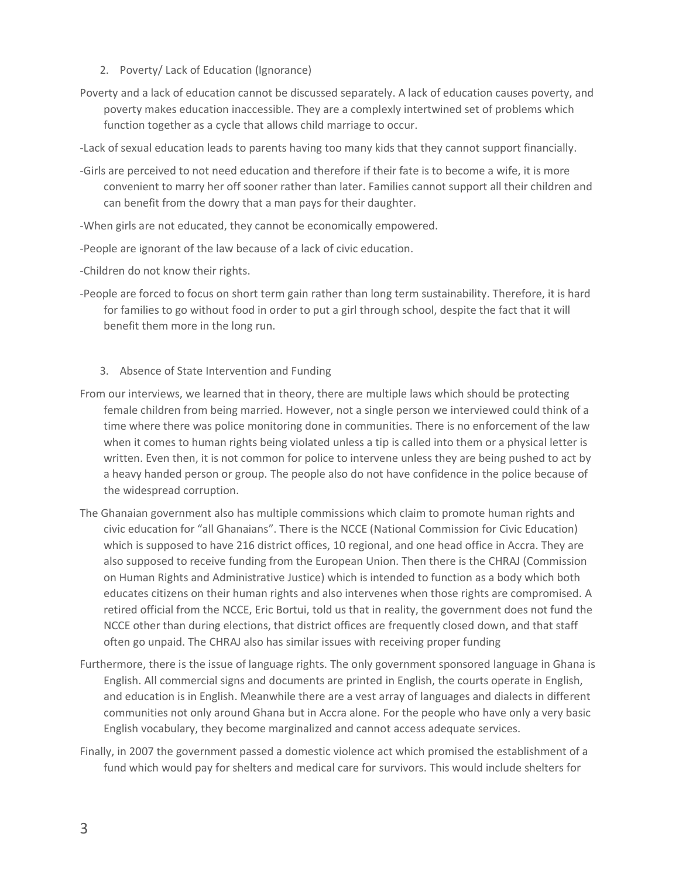- 2. Poverty/ Lack of Education (Ignorance)
- Poverty and a lack of education cannot be discussed separately. A lack of education causes poverty, and poverty makes education inaccessible. They are a complexly intertwined set of problems which function together as a cycle that allows child marriage to occur.

-Lack of sexual education leads to parents having too many kids that they cannot support financially.

- -Girls are perceived to not need education and therefore if their fate is to become a wife, it is more convenient to marry her off sooner rather than later. Families cannot support all their children and can benefit from the dowry that a man pays for their daughter.
- -When girls are not educated, they cannot be economically empowered.
- -People are ignorant of the law because of a lack of civic education.
- -Children do not know their rights.
- -People are forced to focus on short term gain rather than long term sustainability. Therefore, it is hard for families to go without food in order to put a girl through school, despite the fact that it will benefit them more in the long run.
	- 3. Absence of State Intervention and Funding
- From our interviews, we learned that in theory, there are multiple laws which should be protecting female children from being married. However, not a single person we interviewed could think of a time where there was police monitoring done in communities. There is no enforcement of the law when it comes to human rights being violated unless a tip is called into them or a physical letter is written. Even then, it is not common for police to intervene unless they are being pushed to act by a heavy handed person or group. The people also do not have confidence in the police because of the widespread corruption.
- The Ghanaian government also has multiple commissions which claim to promote human rights and civic education for "all Ghanaians". There is the NCCE (National Commission for Civic Education) which is supposed to have 216 district offices, 10 regional, and one head office in Accra. They are also supposed to receive funding from the European Union. Then there is the CHRAJ (Commission on Human Rights and Administrative Justice) which is intended to function as a body which both educates citizens on their human rights and also intervenes when those rights are compromised. A retired official from the NCCE, Eric Bortui, told us that in reality, the government does not fund the NCCE other than during elections, that district offices are frequently closed down, and that staff often go unpaid. The CHRAJ also has similar issues with receiving proper funding
- Furthermore, there is the issue of language rights. The only government sponsored language in Ghana is English. All commercial signs and documents are printed in English, the courts operate in English, and education is in English. Meanwhile there are a vest array of languages and dialects in different communities not only around Ghana but in Accra alone. For the people who have only a very basic English vocabulary, they become marginalized and cannot access adequate services.
- Finally, in 2007 the government passed a domestic violence act which promised the establishment of a fund which would pay for shelters and medical care for survivors. This would include shelters for